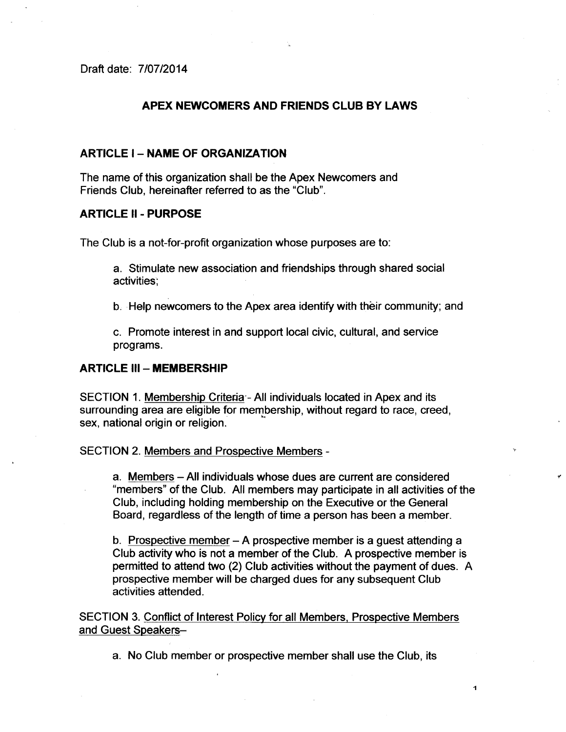Draft date: 7/07/2014

## APEX NEWCOMERS AND FRIENDS CLUB BY LAWS

## **ARTICLE I - NAME OF ORGANIZATION**

The name of this organization shall be the Apex Newcomers and Friends Club, hereinafter referred to as the "Club".

## ARTICLE 11 - PuRPOSE

The Club is a not-for-profit organization whose purposes are to:

a. Stimulate new association and friendships through shared social activities;

b. Help newcomers to the Apex area identify with their community; and

c. Promote interest in and support local civic, cultural, and service programs.

## **ARTICLE III - MEMBERSHIP**

SECTION 1. Membership Criteria - All individuals located in Apex and its surrounding area are eligible for membership, without regard to race, creed,  $*$ sex, national origin or religion.

SECTION 2. Members and Prospective Members -

a. Members -All individuals whose dues are current are considered "members" of the Club. All members may participate in all activities of the Club, including holding membership on the Executive or the General Board, regardless of the length of time a person has been a member.

b. Prospective member  $- A$  prospective member is a guest attending a Club activity who is not a member of the Club. A prospective member is permitted to attend two (2) Club activities without the payment of dues. A prospective member will be charged dues for any subsequent Club activities attended.

SECTION 3. Conflict of Interest Policy for all Members, Prospective Members and Guest Speakers-

a. No Club member or prospective member shall use the Club, its

1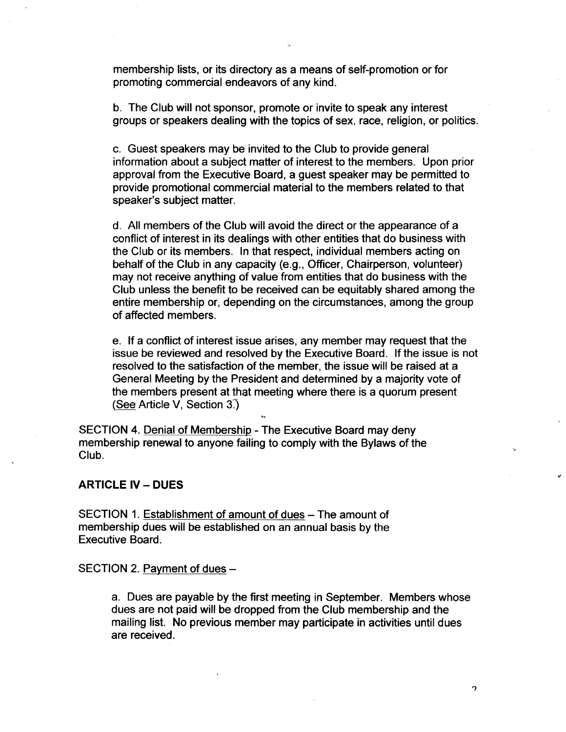membership lists, or its directory as a means of self-promotion or for promoting commercial endeavors of any kind.

b. The club will not sponsor, promote or invite to speak any interest groups or speakers dealing with the topics of sex, race, religion, or politics.

c. Guest speakers may be invited to the Club to provide general information about a subject matter of interest to the members. Upon prior approval from the Executive Board, a guest speaker may be permitted to provide promotional commercial material to the members related to that speaker's subject matter.

d. All members of the Club will avoid the direct or the appearance of a conflict of interest in its dealings with other entities that do business with the Club or its members. In that respect, individual members acting on behalf of the club in any capacity (e.g., Officer, Chairperson, volunteer) may not receive anything of value from entities that do business with the Club unless the benefit to be, received can be equitably shared among the entire membership or, depending on the circumstances, among the group of affected members.

e. If a conflict of interest issue arises, any member may request that the issue be reviewed and resolved by the Executive Board. If the issue is not resolved to the satisfaction of the member, the issue will be raised at a General Meeting by the President and determined by a majority vote of the members present at that meeting where there is a quorum present (See Article V, Section 3.)

SECTION 4. Denial of Membership - The Executive Board may deny membership renewal to anyone failing to comply with the Bylaws of the Club.

## **ARTICLE IV - DUES**

SECTION 1. Establishment of amount of dues - The amount of membership dues will be established on an annual basis by the Executive Board.

SECTION 2. Payment of dues -

a. Dues are payable by the first meeting in September. Members whose dues are not paid will be dropped from the Club membership and the mailing list. No previous member may participate in activities until dues are received.

C,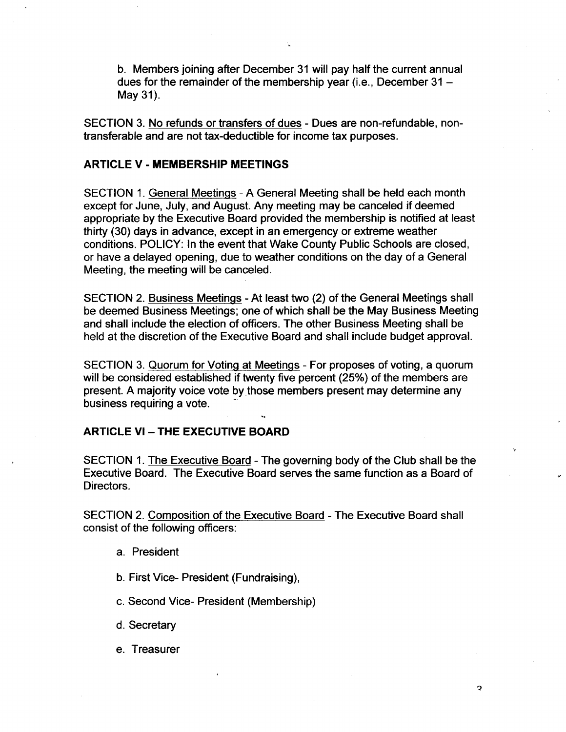b. Members joining after December 31 will pay half the current annual dues for the remainder of the membership year (i.e., December  $31 -$ May 31).

SECTION 3. No refunds or transfers of dues - Dues are non-refundable, nontransferable and are not tax-deductible for income tax purposes.

### ARTICLE V - MEMBERSHIP MEETINGS

SECTION 1. General Meetings - A General Meeting shall be held each month except for June, July, and August. Any meeting may be canceled if deemed appropriate by the Executive Board provided the membership is notified at least thirty (30) days jn advance, except in an emergency or extreme weather conditions. POLICY: In the event that Wake County Public Schools are closed, or have a delayed opening, due to weather conditions on the day of a General Meeting, the meeting will be canceled.

SECTION 2. Business Meetings - At least two (2) of the General Meetings shall be deemed Business Meetings; one of which shall be the May Business Meeting and shall inelude the election of officers. The other Business Meeting shall be held at the discretion of the Executive Board and shall include budget approval.

SECTION 3. Quorum for Voting at Meetings - For proposes of voting, a quorum will be considered established if twenty five percent (25%) of the members are present. A majority voice vote by those members present may determine any business requiring a vote.

### **ARTICLE VI - THE EXECUTIVE BOARD**

SECTION 1. The Executive Board - The governing body of the Club shall be the Executive Board. The Executive Board serves the same function as a Board of Directors.

SECTION 2. Composition of the Executive Board - The Executive Board shall consist of the following officers:

- a. President
- b. First Vice- President (Fundraising),
- c. Second Vice- President (Membership)
- d. Secretary
- e. Treasurer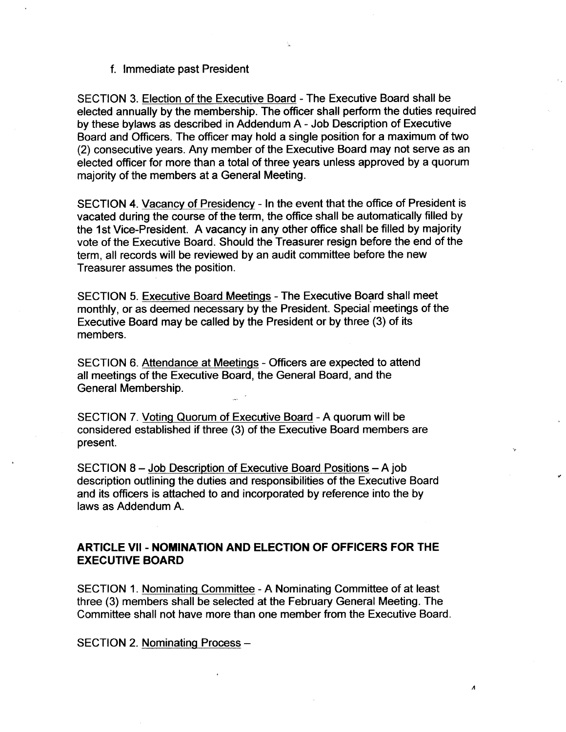f. Immediate past President

SECTION 3. Election of the Executive Board -The Executive Board shall be elected annually by the membership. The officer shall perform the duties required by these bylaws as described in Addendum A -Job Description of Executive Board and Officers. The officer may hold a single position for a maximum of two (2) consecutive years. Any member of the Executive Board may not serve as an elected officer for more than a total of three years unless approved by a quorum majority of the members at a General Meeting.

SECTION 4. Vacancy of Presidency - In the event that the office of President is vacated during the course of the term, the office shall be automatically filled by the 1st Vice-President. A vacancy in any other office shall be filled by majority vote of the Executive Board. Should the Treasurer resign before the end of the term, all records will be reviewed by an audit committee before the new Treasurer assumes the position.

SECTION 5. Executive Board Meetings - The Executive Board shall meet monthly, or as deemed necessary by the President. Special meetings of the Executive Board may be called by the President or by three (3) of its members.

SECTION 6. Attendance at Meetings - Officers are expected to attend all meetings of the Executive Board, the General Board, and the General Membership.

SECTION 7. Voting Quorum of Executive Board - A quorum will be considered established if three (3) of the Executive Board members are present.

SECTION 8 - Job Description of Executive Board Positions - A job description outlining the duties and responsibilities of the Executive Board and its ofricers is attached to and incorporated by reference into the by laws as Addendum A.

## ARTICLE Vll - NOMINATION AND ELECTION OF OFFICERS FOR THE EXECUTIVE BOARD

SECTION 1. Nominating Committee - A Nominating Committee of at least three (3) members shall be selected at the February General Meeting. The Committee shall not have more than one member from the Executive Board

 $\overline{A}$ 

SECTION 2. Nominating Process -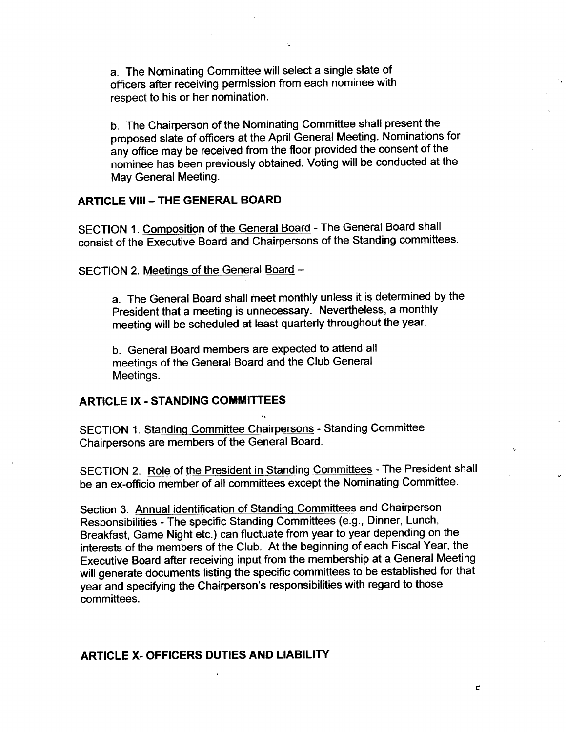a. The Nominating Committee will select a single slate of officers after receiving permission from each nominee with respect to his or her nomination.

b. The Chairperson of the Nominating Committee shall present the proposed slate of officers at the April General Meeting. Nominations for any office may be received from the floor provided the consent of the nominee has been previously obtained. Voting will be conducted at the May General Meeting.

## **ARTICLE VIII - THE GENERAL BOARD**

SECTION 1. Composition of the General Board - The General Board shall consist of the Executive Board and Chairpersons of the Standing committees.

SECTION 2. Meetings of the General Board -

a. The General Board shall meet monthly unless it is determined by the President that a meeting is unnecessary. Nevertheless, a monthly meeting will be scheduled at least quarterly throughout the year.

b. General Board members are expected to attend all meetings of the General Board and the Club General Meetings.

## ARTICLE IX - STANDING COMMITTEES

SECTION 1. Standing Committee Chairpersons - Standing Committee Chairpersons are members of the General Board.

SECTION 2. Role of the President in Standing Committees - The President shall be an ex-officio member of all committees except the Nominating Committee.

Section 3. Annual identification of Standing Committees and Chairperson Responsibilities -The specific Standing Committees (e.g., Dinner, Lunch, Breakfast, Game Night etc.) can fluctuate from year to year depending on the interests of the members of the Club. At the beginning of each Fiscal Year, the Executive Board after receiving input from the membership at a General Meeting will generate documents listing the specific committees to be established for that year and specifying the Chairperson's responsibilities with regard to those committees.

## ARTicLE x- oFFicERs DUTIES AND LiABILirv

 $\overline{\mathbf{r}}$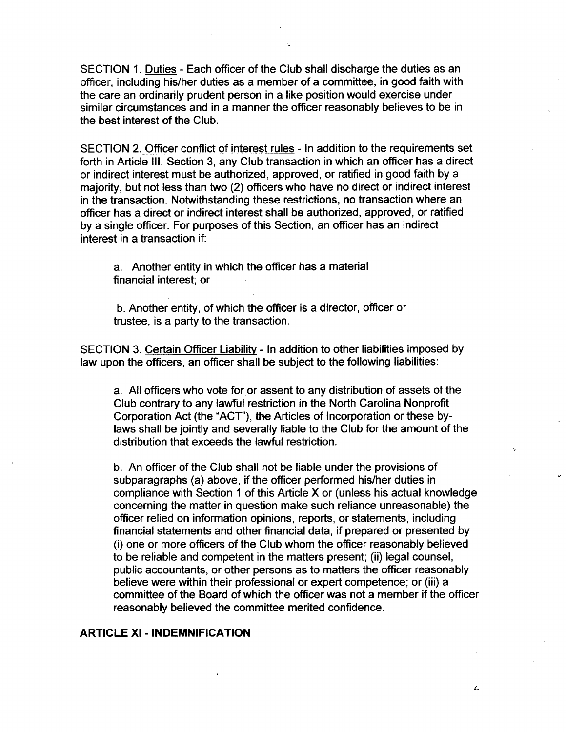SECTION 1. Duties - Each officer of the Club shall discharge the duties as an officer, including his/her duties as a member of a committee, in good faith with the care an ordinarily prudent person in a like position would exercise under similar circumstances and in a manner the officer reasonably believes to be in the best interest of the Club.

SECTION 2. Officer conflict of interest rules - In addition to the requirements set forth in Article Ill, Section 3, any Club transaction in which an officer has a direct or indirect interest must be authorized, approved, or ratified in good faith by a majority, but not less than two (2) officers who have no direct or indirect interest in the transaction. Notwithstanding these restrictions, no transaction where an officer has a direct or indirect interest shall be authorized, approved, or ratified by a single officer. For purposes of this Section, an officer has an indirect interest in a transaction if:

a. Another entity in which the officer has a material financial interest; or

b. Another entity, of which the officer is a director, officer or trustee, is a party to the transaction.

SECTION 3. Certain Officer Liability - In addition to other liabilities imposed by law upon the officers, an officer shall be subject to the following liabilities:

a. All officers who vote for or assent to any distribution of assets of the club contrary to any lawful restriction in the North Carolina Nonprofit Corporation Act (the "ACT"), the Articles of Incorporation or these bylaws shall be jointly and severally liable to the Club for the amount of the distribution that exceeds the lawful restriction.

b. An officer of the Club shall not be liable under the provisions of subparagraphs (a) above, if the officer performed his/her duties in compliance with Section 1 of this Article X or (unless his actual knowledge concerning the matter in question make such reliance unreasonable) the officer relied on information opinions, reports, or statements, including financial statements and other financial data, if prepared or presented by (i) one or more officers of the Club whom the officer reasonably believed to be reliable and competent in the matters present; (ii) legal counsel, public accountants, or other persons as to matters the officer reasonably believe were within their professional or expert competence; or (iii) a committee of the Board of which the officer was not a member if the officer reasonably believed the committee merited confidence.

### ARTICLE Xl -INDEMNIFICATION

 $\epsilon$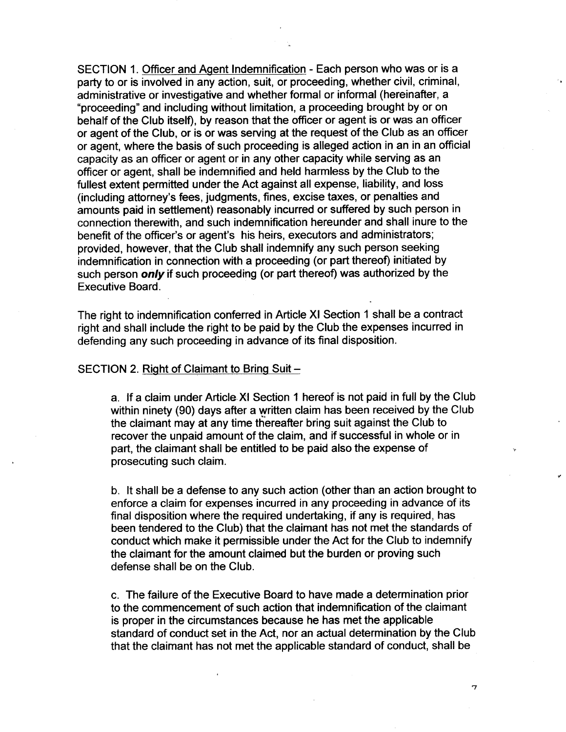SECTION 1. Officer and Agent Indemnification - Each person who was or is a party to or is involved in any action, suit, or proceeding, whether civil, criminal, administrative or investigative and whether formal or informal (hereinafter, a "proceeding" and including without limitation, a proceeding brought by or on behalf of the Club itself), by reason that the officer or agent is or was an officer or agent of the Club, or is or was serving at the request of the Club as an officer or agent, where the basis of such proceeding is alleged action in an in an official capacity as an officer or agent or in any other capacity while serving as an officer or agent, shall be indemnified and held harmless by the Club to the fullest extent permitted under the Act against all expense, liability, and loss (including attomey's fees, judgments, fines, excise taxes, or penalties and amounts paid in settlement) reasonably inourred or suffered by such person in connection therewith, and such indemnification hereunder and shall inure to the benefit of the officer's or agent's his heirs, executors and administrators; provided, however, that the Club shall indemnify any such person seeking indemniflcation in connection with a proceeding (or part thereof) initiated by such person *only* if such proceeding (or part thereof) was authorized by the Executive Board.

The right to indemnification conferred in Article XI Section 1 shall be a contract right and shall include the right to be paid by the Club the expenses inourred in defending any such proceeding in advance of its final disposition.

## SECTION 2. Right of Claimant to Bring Suit -

a. If a claim under Article XI Section 1 hereof is not paid in full by the Club within ninety (90) days after a written claim has been received by the Club the claimant may at any time thereafter bring suit against the Club to recover the unpaid amount of the claim, and if successful in whole or in part, the claimant shall be entitled to be paid also the expense of prosecuting such claim.

b. It shall be a defense to any such action (other than an action brought to enforce a claim for expenses incurred in any proceeding in advance of its final disposition where the required undertaking, if any is required, has been tendered to the Club) that the claimant has not met the standards of conduct which make it permissible under the Act for the Club to indemnify the claimant for the amount claimed but the burden or proving such defense shall be on the Club.

c. The failure of the Executive Board to have made a determination prior to the commencement of such action that indemnification of the claimant is proper in the circumsfances because he has met the applicable standard of conduct set in the Act, nor an actual determination by the Club that the claimant has not met the applicable standard of conduct, shall be

 $\overline{7}$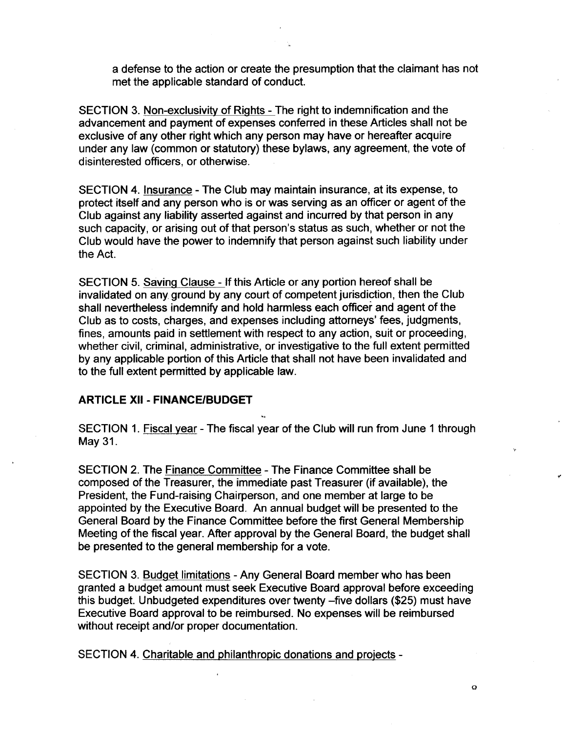a defense to the action or create the presumption that the claimant has not met the applicable standard of conduct.

SECTION 3. Non-exclusivity of Rights - The right to indemnification and the advancement and payment of expenses conferred in these Articles shall not be exclusive of any other right which any person may have or hereafter acquire under any law (common or statutory) these bylaws, any agreement, the vote of disinterested officers, or otherwise.

SECTION 4. Insurance - The Club may maintain insurance, at its expense, to protect itself and any person who is or was serving as an officer or agent of the Club against any liabilfty asserted against and incurred by that person in any such capacity, or arising out of that person's status as such, whether or not the Club would have the power to indemnify that person against such liability under the Act.

SECTION 5. Saving Clause - If this Article or any portion hereof shall be invalidated on any ground by any court of competent jurisdiction, then the Club shall nevertheless indemnify and hold harmless each officer and agent of the Club as to costs, charges, and expenses including attomeys' fees, judgments, fines, amounts paid in settlement with respect to any action, suit or proceeding, whether civil, criminal, administrative, or investigative to the full extent permitted by any applicable portion of this Article that shall not have been invalidated and to the full extent permitted by applicable law.

#### ARTICLE Xll -FINANCE/BUDGET

SECTION 1. Fiscal year -The fiscal year of the Club will run from June 1 through May 31.

SECTION 2. The Finance Committee -The Finance Committee shall be composed of the Treasurer, the immediate past Treasurer (if available), the President, the Fund-raising Chairperson, and one member at large to be appointed by the Executive Board. An annual budget will be presented to the General Board by the Finance Committee before the first General Membership Meeting of the fiscal year. After approval by the General Board, the budget shall be presented to the general membership for a vote.

SECTION 3. Budget limitations - Any General Board member who has been granted a budget amount must seek Executive Board approval before exceeding this budget. Unbudgeted expenditures over twenty -five dollars (\$25) must have Executive Board approval to be reimbursed. No expenses will be reimbursed without receipt and/or proper documentation.

SECTION 4. Charitable and philanthropic donations and projects -

 $\overline{Q}$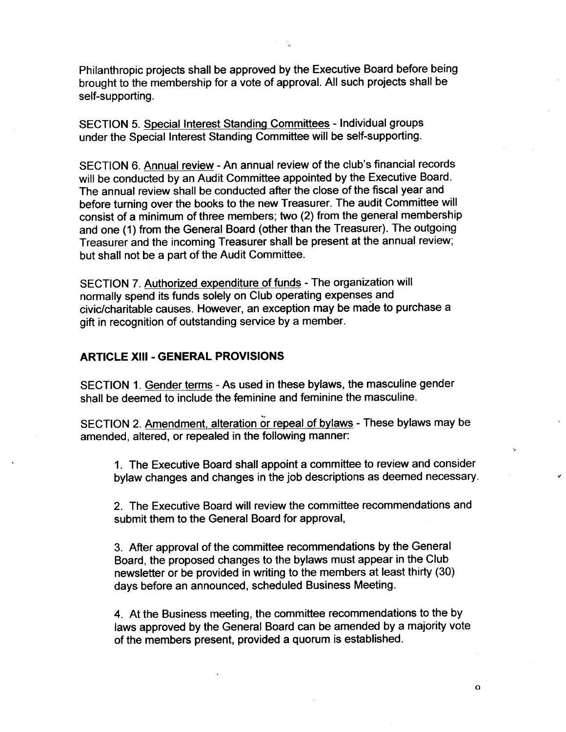Philanthropic projects shall be approved by the Executive Board before being brought to the membership for a vote of approval. All such projects shall be self-supporting.

SECTION 5. Special Interest Standing Committees - Individual groups under the Special Interest Standing Committee will be self-supporting.

SECTION 6. Annual review - An annual review of the club's financial records will be conducted by an Audit Committee appointed by the Executive Board. The annual review shall be conducted after the close of the fiscal year and before turning over the books to the new Treasurer. The audit Committee will consist of a minimum of three members; two (2) from the general membership and one (1) from the General Board (other than the Treasurer). The outgoing Treasurer and the incoming Treasurer shall be present at the annual review; but shall not be a part of the Audit Committee.

SECTION 7. Authorized expenditure of funds - The organization will normally spend its funds solely on Club operating expenses and civic/charitable causes. However, an exception may be made to purchase a gift in recognition of outstanding service by a member.

## ARTICLE Xlll - GENERAL PROVISIONS

SECTION 1. Gender terms - As used in these bylaws, the masculine gender shall be deemed to include the feminine and feminine the masculine.

SECTION 2. Amendment, alteration or repeal of bylaws - These bylaws may be amended, altered, or repealed in the following manner:

1. The Executive Board shall appoint a committee to review and consider bylaw changes and changes in the job descriptions as deemed necessary.

2. The Executive Board will review the committee recommendations and submit them to the General Board for approval,

3. After approval of the committee recommendations by the General Board, the proposed changes to the bylaws must appear in the Club newsletter or be provided in writing to the members at least thirty (30) days before an announced, scheduled Business Meeting.

4. At the Business meeting, the committee recommendations to the by laws approved by the General Board can be amended by a majority vote of the members present, provided a quorum is established.

a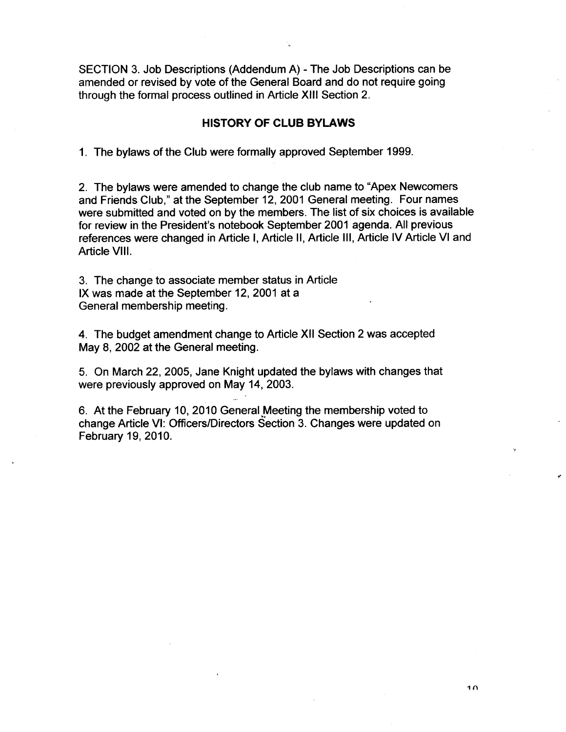SECTION 3. Job Descriptions (Addendum A) - The Job Descriptions can be amended or revised by vote of the General Board and do not require going through the formal process outlined in Article XIII Section 2.

## HISTORY 0F CLUB BYLAWS

1. The bylaws of the Club were formally approved September 1999.

2. The bylaws were amended to change the club name to "Apex Newcomers and Friends Club," at the September 12, 2001 General meeting. Four names were submitted and voted on by the members. The list of six choices is available for review in the President's notebook September 2001 agenda. All previous references were changed in Article I, Article 11, Article Ill, Article lv Article Vl and Article Vlll.

3. The change to associate member status in Article lx was made at the September 12, 2001 at a General membership meeting.

4. The budget amendment change to Article Xll Section 2 was accepted May 8, 2002 at the General meeting.

5. On March 22, 2005, Jane Knight updated the bylaws with changes that were previously approved on May 14, 2003.

6. At the February 10, 2010 General Meeting the membership voted to change Article VI: Officers/Directors Section 3. Changes were updated on February 19, 2010.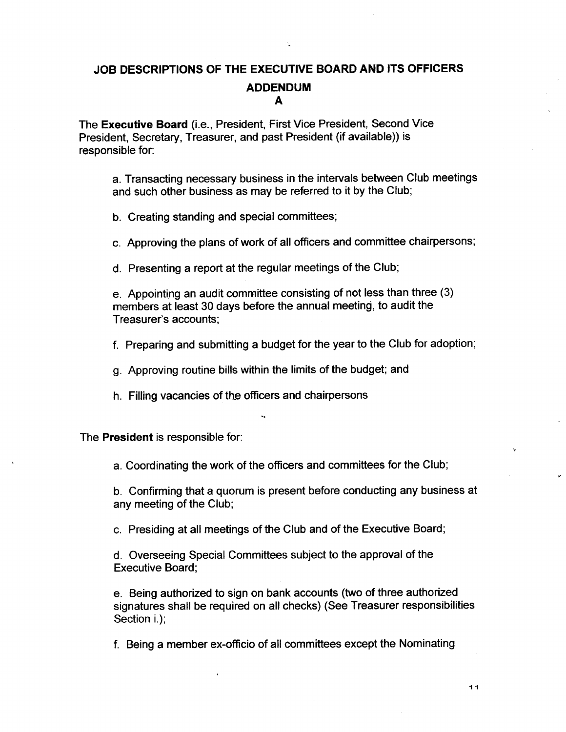# JOB DESCRIPTIONS 0F THE EXECUTIVE BOARD AND ITS OFFICERS ADDENDUM A

The Executive Board (i.e., President, First Vice President, Second Vice President, Secretary, Treasurer, and past President (if available)) is responsible for:

a. Transacting necessary business in the intervals between Club meetings and such other business as may be referred to it by the Club;

b. Creating standing and special committees;

c. Approving the plans of work of all officers and committee chairpersons;

d. Presenting a report at the regular meetings of the Club;

e. Appointing an audit committee consisting of not less than three (3) members at least 30 days before the annual meeting, to audit the Treasurer's accounts;

f. Preparing and submitting a budget for the year to the Club for adoption;

9. Approving routine bills within the limits of the budget; and

h. Filling vacancies of the officers and chairpersons

The President is responsible for:

a. Coordinating the work of the officers and committees for the Club;

b. Confirming that a quorum is present before conducting any business at any meeting of the Club;

c. Presiding at all meetings of the Club and of the Executive Board;

d. Overseeing Special Committees subject to the approval of the Executive Board;

e. Being authorized to sign on bank accounts (two of three authorized signatures shall be required on all checks) (See Treasurer responsibilities Section i.);

f. Being a member ex-officio of all committees except the Nominating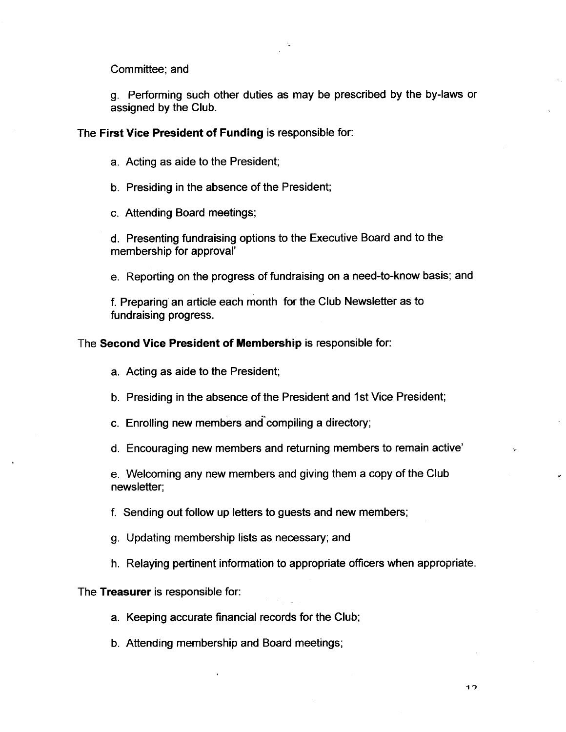Committee; and

9. Performing such other duties as may be prescribed by the by-laws or assigned by the Club.

#### The First Vice President of Funding is responsible for:

- a. Acting as aide to the President;
- b. Presiding in the absence of the President;
- c. Attending Board meetings;

d. Presenting fundraising options to the Executive Board and to the membership for approval'

e. Reporting on the progress of fundraising on a need-to-know basis; and

f. Preparing an article each month for the Club Newsletter as to fundraising progress.

#### The Second Vice President of Membership is responsible for:

- a. Acting as aide to the President;
- b. Presiding in the absence of the President and 1st Vice President;
- c. Enrolling new members and compiling a directory;
- d. Encouraging new members and returning members to remain active'

e. Welcoming any new members and giving them a copy of the Club newsletter;

- f. Sending out follow up letters to guests and new members;
- 9. Updating membership lists as necessary; and
- h. Relaying pertinent information to appropriate officers when appropriate.

The Treasurer is responsible for:

- a. Keeping accurate financial records for the Club;
- b. Attending membership and Board meetings;